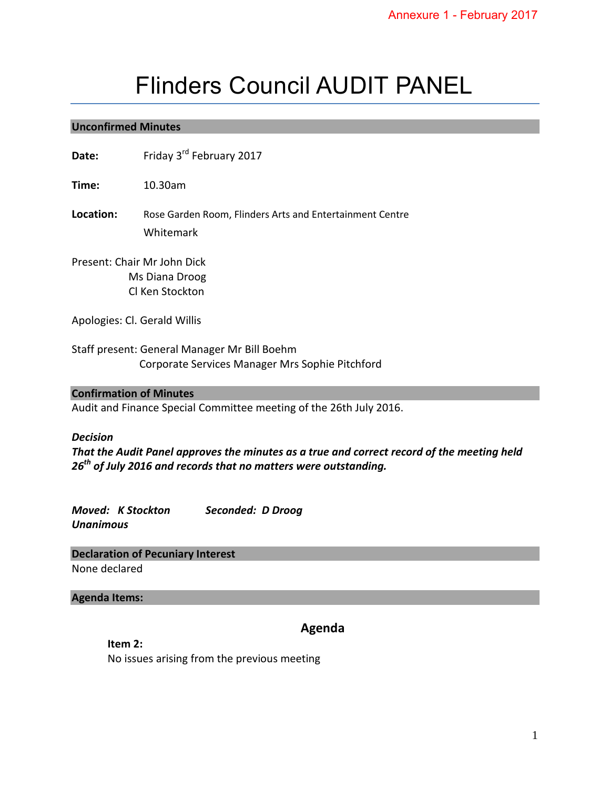# Flinders Council AUDIT PANEL

#### **Unconfirmed Minutes**

Date: Friday 3<sup>rd</sup> February 2017

**Time:** 10.30am

**Location:** Rose Garden Room, Flinders Arts and Entertainment Centre Whitemark

Present: Chair Mr John Dick Ms Diana Droog Cl Ken Stockton

Apologies: Cl. Gerald Willis

Staff present: General Manager Mr Bill Boehm Corporate Services Manager Mrs Sophie Pitchford

#### **Confirmation of Minutes**

Audit and Finance Special Committee meeting of the 26th July 2016.

#### *Decision*

*That the Audit Panel approves the minutes as a true and correct record of the meeting held 26th of July 2016 and records that no matters were outstanding.* 

*Moved: K Stockton Seconded: D Droog Unanimous* 

**Declaration of Pecuniary Interest** None declared

#### **Agenda Items:**

# **Agenda**

**Item 2:**  No issues arising from the previous meeting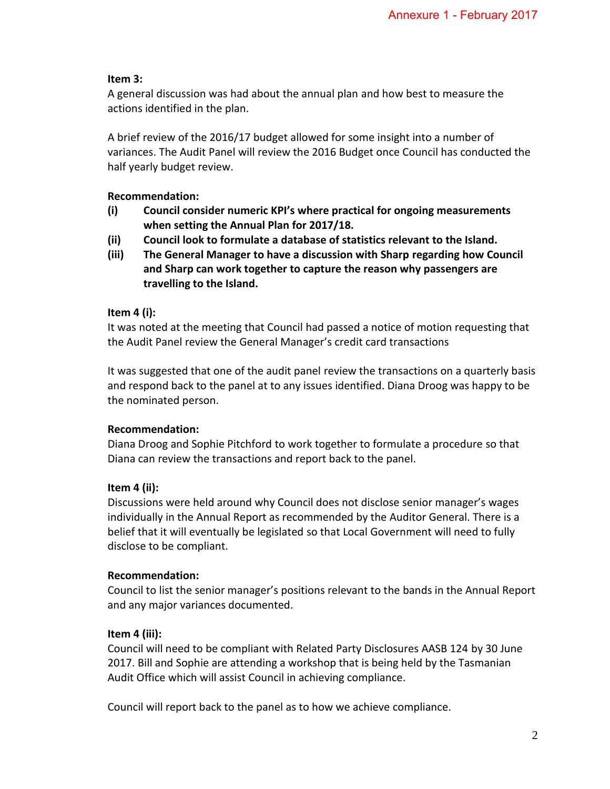## **Item 3:**

A general discussion was had about the annual plan and how best to measure the actions identified in the plan.

A brief review of the 2016/17 budget allowed for some insight into a number of variances. The Audit Panel will review the 2016 Budget once Council has conducted the half yearly budget review.

# **Recommendation:**

- **(i) Council consider numeric KPI's where practical for ongoing measurements when setting the Annual Plan for 2017/18.**
- **(ii) Council look to formulate a database of statistics relevant to the Island.**
- **(iii) The General Manager to have a discussion with Sharp regarding how Council and Sharp can work together to capture the reason why passengers are travelling to the Island.**

## **Item 4 (i):**

It was noted at the meeting that Council had passed a notice of motion requesting that the Audit Panel review the General Manager's credit card transactions

It was suggested that one of the audit panel review the transactions on a quarterly basis and respond back to the panel at to any issues identified. Diana Droog was happy to be the nominated person.

# **Recommendation:**

Diana Droog and Sophie Pitchford to work together to formulate a procedure so that Diana can review the transactions and report back to the panel.

# **Item 4 (ii):**

Discussions were held around why Council does not disclose senior manager's wages individually in the Annual Report as recommended by the Auditor General. There is a belief that it will eventually be legislated so that Local Government will need to fully disclose to be compliant.

# **Recommendation:**

Council to list the senior manager's positions relevant to the bands in the Annual Report and any major variances documented.

# **Item 4 (iii):**

Council will need to be compliant with Related Party Disclosures AASB 124 by 30 June 2017. Bill and Sophie are attending a workshop that is being held by the Tasmanian Audit Office which will assist Council in achieving compliance.

Council will report back to the panel as to how we achieve compliance.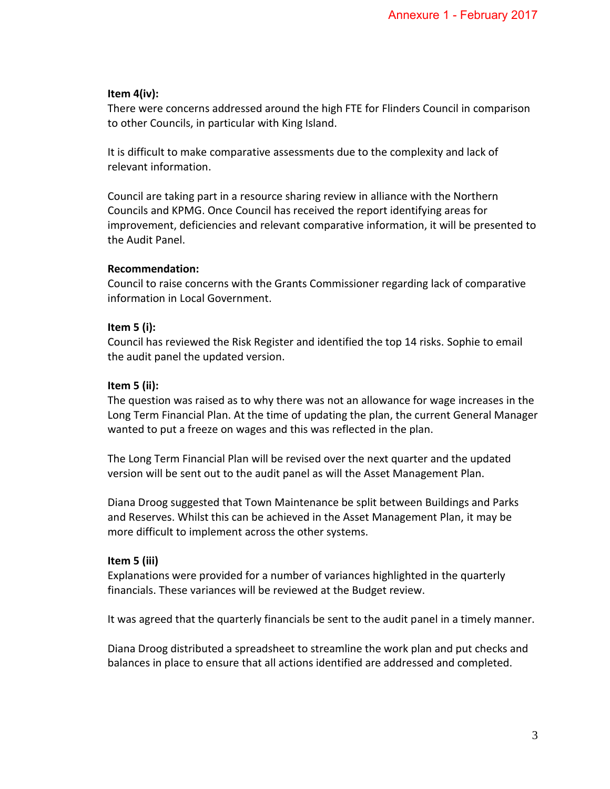## **Item 4(iv):**

There were concerns addressed around the high FTE for Flinders Council in comparison to other Councils, in particular with King Island.

It is difficult to make comparative assessments due to the complexity and lack of relevant information.

Council are taking part in a resource sharing review in alliance with the Northern Councils and KPMG. Once Council has received the report identifying areas for improvement, deficiencies and relevant comparative information, it will be presented to the Audit Panel.

## **Recommendation:**

Council to raise concerns with the Grants Commissioner regarding lack of comparative information in Local Government.

# **Item 5 (i):**

Council has reviewed the Risk Register and identified the top 14 risks. Sophie to email the audit panel the updated version.

## **Item 5 (ii):**

The question was raised as to why there was not an allowance for wage increases in the Long Term Financial Plan. At the time of updating the plan, the current General Manager wanted to put a freeze on wages and this was reflected in the plan.

The Long Term Financial Plan will be revised over the next quarter and the updated version will be sent out to the audit panel as will the Asset Management Plan.

Diana Droog suggested that Town Maintenance be split between Buildings and Parks and Reserves. Whilst this can be achieved in the Asset Management Plan, it may be more difficult to implement across the other systems.

#### **Item 5 (iii)**

Explanations were provided for a number of variances highlighted in the quarterly financials. These variances will be reviewed at the Budget review.

It was agreed that the quarterly financials be sent to the audit panel in a timely manner.

Diana Droog distributed a spreadsheet to streamline the work plan and put checks and balances in place to ensure that all actions identified are addressed and completed.